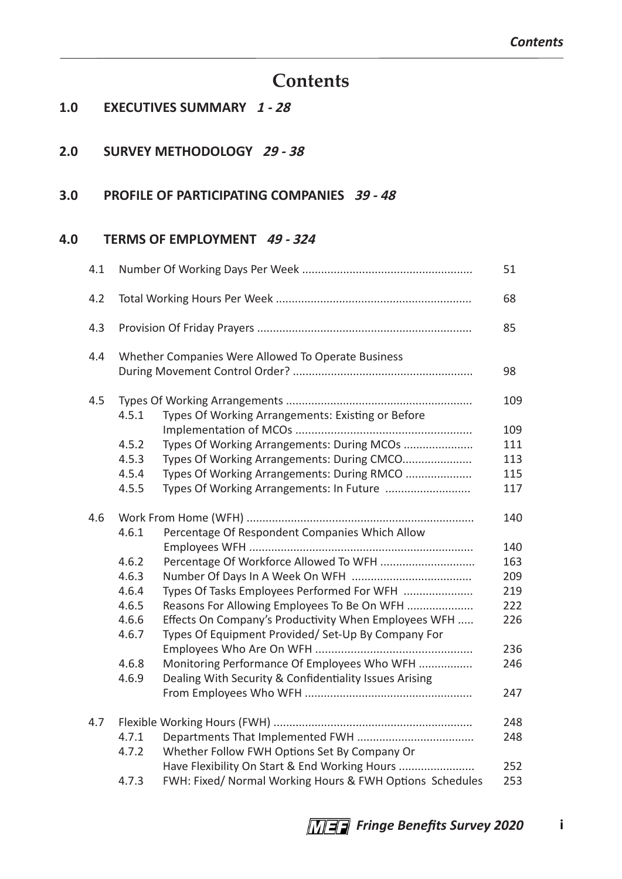# **Contents**

#### **1.0 EXECUTIVES SUMMARY 1 - 28**

#### **2.0 SURVEY METHODOLOGY 29 - 38**

#### **3.0 PROFILE OF PARTICIPATING COMPANIES 39 - 48**

#### **4.0 TERMS OF EMPLOYMENT 49 - 324**

| 4.1 |       |                                                          | 51  |
|-----|-------|----------------------------------------------------------|-----|
| 4.2 |       |                                                          | 68  |
| 4.3 |       |                                                          | 85  |
| 4.4 |       | Whether Companies Were Allowed To Operate Business       |     |
|     |       |                                                          | 98  |
| 4.5 |       |                                                          | 109 |
|     | 4.5.1 | Types Of Working Arrangements: Existing or Before        |     |
|     |       |                                                          | 109 |
|     | 4.5.2 | Types Of Working Arrangements: During MCOs               | 111 |
|     | 4.5.3 | Types Of Working Arrangements: During CMCO               | 113 |
|     | 4.5.4 | Types Of Working Arrangements: During RMCO               | 115 |
|     | 4.5.5 | Types Of Working Arrangements: In Future                 | 117 |
| 4.6 |       |                                                          | 140 |
|     | 4.6.1 | Percentage Of Respondent Companies Which Allow           | 140 |
|     | 4.6.2 | Percentage Of Workforce Allowed To WFH                   | 163 |
|     | 4.6.3 |                                                          | 209 |
|     | 4.6.4 | Types Of Tasks Employees Performed For WFH               | 219 |
|     | 4.6.5 | Reasons For Allowing Employees To Be On WFH              | 222 |
|     | 4.6.6 | Effects On Company's Productivity When Employees WFH     | 226 |
|     | 4.6.7 | Types Of Equipment Provided/ Set-Up By Company For       |     |
|     |       |                                                          | 236 |
|     | 4.6.8 | Monitoring Performance Of Employees Who WFH              | 246 |
|     | 4.6.9 | Dealing With Security & Confidentiality Issues Arising   |     |
|     |       |                                                          | 247 |
| 4.7 |       |                                                          | 248 |
|     | 4.7.1 |                                                          | 248 |
|     | 4.7.2 | Whether Follow FWH Options Set By Company Or             |     |
|     |       | Have Flexibility On Start & End Working Hours            | 252 |
|     | 4.7.3 | FWH: Fixed/ Normal Working Hours & FWH Options Schedules | 253 |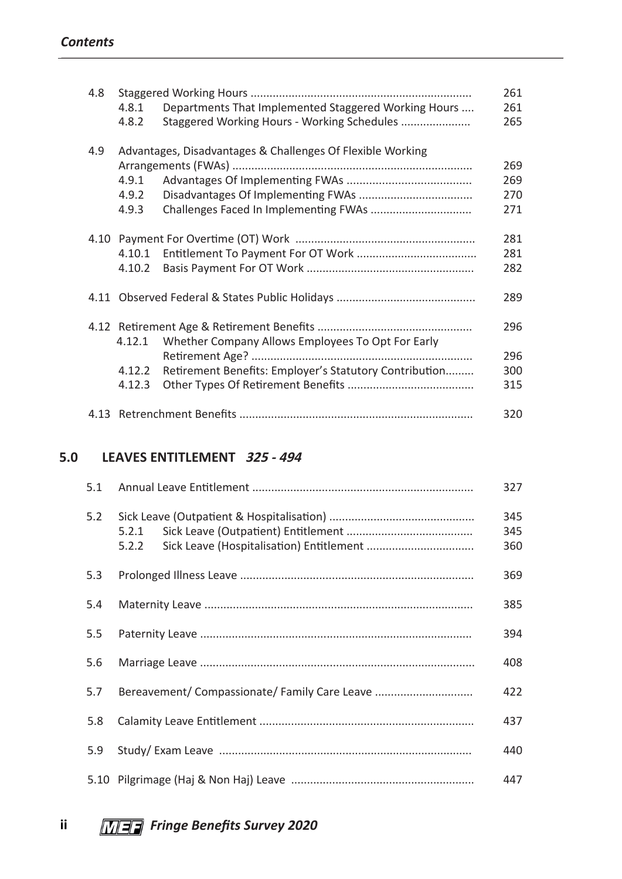| 4.8 |        |                                                            | 261 |
|-----|--------|------------------------------------------------------------|-----|
|     | 4.8.1  | Departments That Implemented Staggered Working Hours       | 261 |
|     | 4.8.2  | Staggered Working Hours - Working Schedules                | 265 |
| 4.9 |        | Advantages, Disadvantages & Challenges Of Flexible Working |     |
|     |        |                                                            | 269 |
|     | 4.9.1  |                                                            | 269 |
|     | 4.9.2  |                                                            | 270 |
|     | 4.9.3  |                                                            | 271 |
|     |        |                                                            | 281 |
|     | 4.10.1 |                                                            | 281 |
|     | 4.10.2 |                                                            | 282 |
|     |        |                                                            | 289 |
|     |        |                                                            | 296 |
|     | 4.12.1 | Whether Company Allows Employees To Opt For Early          |     |
|     |        |                                                            | 296 |
|     | 4.12.2 | Retirement Benefits: Employer's Statutory Contribution     | 300 |
|     | 4.12.3 |                                                            | 315 |
|     |        |                                                            | 320 |

### **5.0 LEAVES ENTITLEMENT 325 - 494**

| 5.1 |                                               | 327               |
|-----|-----------------------------------------------|-------------------|
| 5.2 | 5.2.1<br>5.2.2                                | 345<br>345<br>360 |
| 5.3 |                                               | 369               |
| 5.4 |                                               | 385               |
| 5.5 |                                               | 394               |
| 5.6 |                                               | 408               |
| 5.7 | Bereavement/ Compassionate/ Family Care Leave | 422               |
| 5.8 |                                               | 437               |
| 5.9 |                                               | 440               |
|     |                                               | 447               |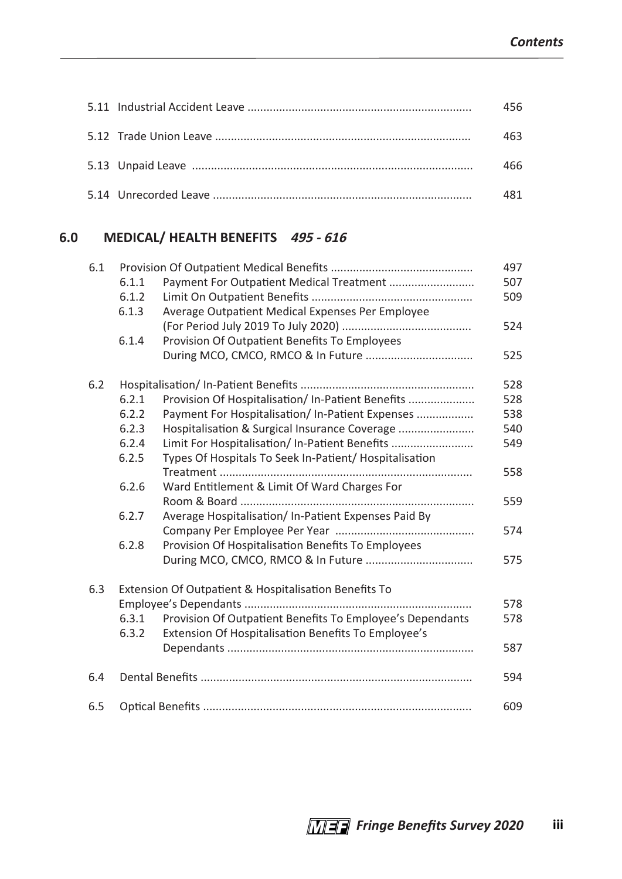|  | 456. |
|--|------|
|  | 163  |
|  | 166  |
|  |      |

## **6.0 MEDICAL/ HEALTH BENEFITS 495 - 616**

| 6.1 |       |                                                           | 497 |
|-----|-------|-----------------------------------------------------------|-----|
|     | 6.1.1 | Payment For Outpatient Medical Treatment                  | 507 |
|     | 6.1.2 |                                                           | 509 |
|     | 6.1.3 | Average Outpatient Medical Expenses Per Employee          |     |
|     |       |                                                           | 524 |
|     | 6.1.4 | Provision Of Outpatient Benefits To Employees             |     |
|     |       |                                                           | 525 |
| 6.2 |       |                                                           | 528 |
|     | 6.2.1 | Provision Of Hospitalisation/ In-Patient Benefits         | 528 |
|     | 6.2.2 | Payment For Hospitalisation/ In-Patient Expenses          | 538 |
|     | 6.2.3 | Hospitalisation & Surgical Insurance Coverage             | 540 |
|     | 6.2.4 | Limit For Hospitalisation/ In-Patient Benefits            | 549 |
|     | 6.2.5 | Types Of Hospitals To Seek In-Patient/ Hospitalisation    |     |
|     |       |                                                           | 558 |
|     | 6.2.6 | Ward Entitlement & Limit Of Ward Charges For              |     |
|     |       |                                                           | 559 |
|     | 6.2.7 | Average Hospitalisation/In-Patient Expenses Paid By       |     |
|     |       |                                                           | 574 |
|     | 6.2.8 | Provision Of Hospitalisation Benefits To Employees        |     |
|     |       |                                                           | 575 |
| 6.3 |       | Extension Of Outpatient & Hospitalisation Benefits To     |     |
|     |       |                                                           | 578 |
|     | 6.3.1 | Provision Of Outpatient Benefits To Employee's Dependants | 578 |
|     | 6.3.2 | Extension Of Hospitalisation Benefits To Employee's       |     |
|     |       |                                                           | 587 |
| 6.4 |       |                                                           | 594 |
| 6.5 |       |                                                           | 609 |
|     |       |                                                           |     |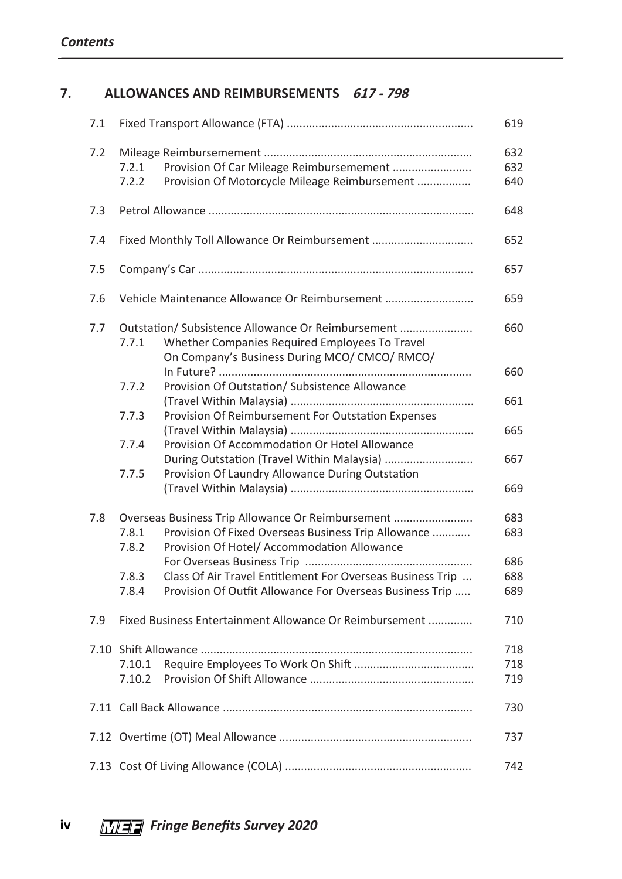### **7. ALLOWANCES AND REIMBURSEMENTS 617 - 798**

| 7.1 |                                                                                                      | 619        |
|-----|------------------------------------------------------------------------------------------------------|------------|
| 7.2 | Provision Of Car Mileage Reimbursemement<br>7.2.1                                                    | 632<br>632 |
|     | Provision Of Motorcycle Mileage Reimbursement<br>7.2.2                                               | 640        |
| 7.3 |                                                                                                      | 648        |
| 7.4 | Fixed Monthly Toll Allowance Or Reimbursement                                                        | 652        |
| 7.5 |                                                                                                      | 657        |
| 7.6 | Vehicle Maintenance Allowance Or Reimbursement                                                       | 659        |
| 7.7 | Outstation/ Subsistence Allowance Or Reimbursement                                                   | 660        |
|     | Whether Companies Required Employees To Travel<br>7.7.1                                              |            |
|     | On Company's Business During MCO/ CMCO/ RMCO/                                                        | 660        |
|     | Provision Of Outstation/ Subsistence Allowance<br>7.7.2                                              |            |
|     | Provision Of Reimbursement For Outstation Expenses<br>7.7.3                                          | 661        |
|     |                                                                                                      | 665        |
|     | 7.7.4<br>Provision Of Accommodation Or Hotel Allowance<br>During Outstation (Travel Within Malaysia) | 667        |
|     | Provision Of Laundry Allowance During Outstation<br>7.7.5                                            |            |
|     |                                                                                                      | 669        |
| 7.8 | Overseas Business Trip Allowance Or Reimbursement                                                    | 683        |
|     | 7.8.1<br>Provision Of Fixed Overseas Business Trip Allowance                                         | 683        |
|     | Provision Of Hotel/ Accommodation Allowance<br>7.8.2                                                 | 686        |
|     | Class Of Air Travel Entitlement For Overseas Business Trip<br>7.8.3                                  | 688        |
|     | Provision Of Outfit Allowance For Overseas Business Trip<br>7.8.4                                    | 689        |
| 7.9 | Fixed Business Entertainment Allowance Or Reimbursement                                              | 710        |
|     |                                                                                                      | 718        |
|     | 7.10.1                                                                                               | 718        |
|     | 7.10.2                                                                                               | 719        |
|     |                                                                                                      | 730        |
|     |                                                                                                      | 737        |
|     |                                                                                                      | 742        |